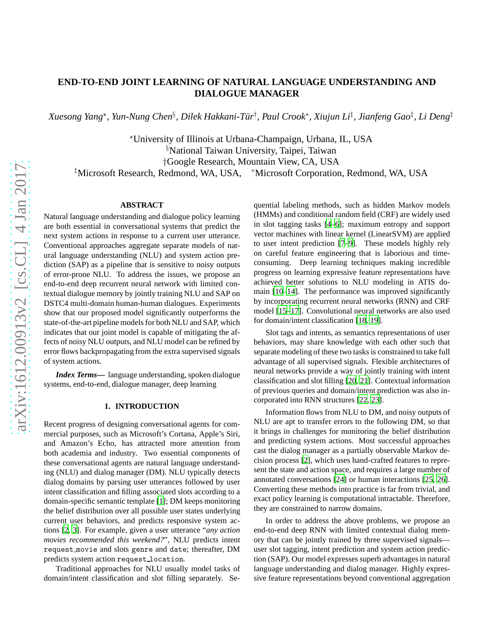# **END-TO-END JOINT LEARNING OF NATURAL LANGUAGE UNDERSTANDING AND DIALOGUE MANAGER**

*Xuesong Yang*<sup>⋆</sup> *, Yun-Nung Chen*§ *, Dilek Hakkani-Tur¨* † *, Paul Crook*<sup>∗</sup> *, Xiujun Li*‡ *, Jianfeng Gao*‡ *, Li Deng*‡

<sup>⋆</sup>University of Illinois at Urbana-Champaign, Urbana, IL, USA §National Taiwan University, Taipei, Taiwan †Google Research, Mountain View, CA, USA ‡Microsoft Research, Redmond, WA, USA, <sup>∗</sup>Microsoft Corporation, Redmond, WA, USA

# **ABSTRACT**

Natural language understanding and dialogue policy learning are both essential in conversational systems that predict the next system actions in response to a current user utterance. Conventional approaches aggregate separate models of natural language understanding (NLU) and system action prediction (SAP) as a pipeline that is sensitive to noisy outputs of error-prone NLU. To address the issues, we propose an end-to-end deep recurrent neural network with limited contextual dialogue memory by jointly training NLU and SAP on DSTC4 multi-domain human-human dialogues. Experiments show that our proposed model significantly outperforms the state-of-the-art pipeline models for both NLU and SAP, which indicates that our joint model is capable of mitigating the affects of noisy NLU outputs, and NLU model can be refined by error flows backpropagating from the extra supervised signals of system actions.

*Index Terms***—** language understanding, spoken dialogue systems, end-to-end, dialogue manager, deep learning

### **1. INTRODUCTION**

Recent progress of designing conversational agents for commercial purposes, such as Microsoft's Cortana, Apple's Siri, and Amazon's Echo, has attracted more attention from both academia and industry. Two essential components of these conversational agents are natural language understanding (NLU) and dialog manager (DM). NLU typically detects dialog domains by parsing user utterances followed by user intent classification and filling associated slots according to a domain-specific semantic template [\[1\]](#page-4-0); DM keeps monitoring the belief distribution over all possible user states underlying current user behaviors, and predicts responsive system actions [\[2,](#page-4-1) [3](#page-4-2)]. For example, given a user utterance "*any action movies recommended this weekend?*", NLU predicts intent request movie and slots genre and date; thereafter, DM predicts system action request location.

Traditional approaches for NLU usually model tasks of domain/intent classification and slot filling separately. Sequential labeling methods, such as hidden Markov models (HMMs) and conditional random field (CRF) are widely used in slot tagging tasks [\[4](#page-4-3)[–6](#page-4-4)]; maximum entropy and support vector machines with linear kernel (LinearSVM) are applied to user intent prediction [\[7](#page-4-5)[–9](#page-4-6)]. These models highly rely on careful feature engineering that is laborious and timeconsuming. Deep learning techniques making incredible progress on learning expressive feature representations have achieved better solutions to NLU modeling in ATIS domain [\[10](#page-4-7)[–14\]](#page-4-8). The performance was improved significantly by incorporating recurrent neural networks (RNN) and CRF model [\[15](#page-4-9)[–17](#page-4-10)]. Convolutional neural networks are also used for domain/intent classification [\[18,](#page-4-11) [19\]](#page-4-12).

Slot tags and intents, as semantics representations of user behaviors, may share knowledge with each other such that separate modeling of these two tasks is constrained to take full advantage of all supervised signals. Flexible architectures of neural networks provide a way of jointly training with intent classification and slot filling [\[20,](#page-4-13) [21](#page-4-14)]. Contextual information of previous queries and domain/intent prediction was also incorporated into RNN structures [\[22](#page-4-15), [23](#page-4-16)].

Information flows from NLU to DM, and noisy outputs of NLU are apt to transfer errors to the following DM, so that it brings in challenges for monitoring the belief distribution and predicting system actions. Most successful approaches cast the dialog manager as a partially observable Markov decision process [\[2\]](#page-4-1), which uses hand-crafted features to represent the state and action space, and requires a large number of annotated conversations [\[24\]](#page-4-17) or human interactions [\[25,](#page-4-18) [26](#page-4-19)]. Converting these methods into practice is far from trivial, and exact policy learning is computational intractable. Therefore, they are constrained to narrow domains.

In order to address the above problems, we propose an end-to-end deep RNN with limited contextual dialog memory that can be jointly trained by three supervised signals user slot tagging, intent prediction and system action prediction (SAP). Our model expresses superb advantages in natural language understanding and dialog manager. Highly expressive feature representations beyond conventional aggregation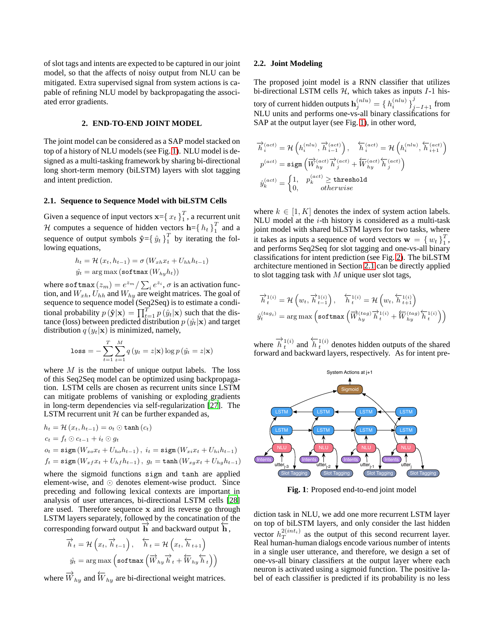of slot tags and intents are expected to be captured in our joint model, so that the affects of noisy output from NLU can be mitigated. Extra supervised signal from system actions is capable of refining NLU model by backpropagating the associated error gradients.

# **2. END-TO-END JOINT MODEL**

The joint model can be considered as a SAP model stacked on top of a history of NLU models (see Fig. [1\)](#page-1-0). NLU model is designed as a multi-tasking framework by sharing bi-directional long short-term memory (biLSTM) layers with slot tagging and intent prediction.

## <span id="page-1-1"></span>**2.1. Sequence to Sequence Model with biLSTM Cells**

Given a sequence of input vectors  $\mathbf{x} = \{x_t\}_1^T$  $\frac{1}{1}$ , a recurrent unit H computes a sequence of hidden vectors  $\mathbf{h} = \{h_t\}_{t=1}^T$  $\frac{1}{1}$  and a sequence of output symbols  $\mathbf{\hat{y}} = \{ \hat{y}_t \}_{1}^T$  $\frac{1}{1}$  by iterating the following equations,

$$
h_t = \mathcal{H}(x_t, h_{t-1}) = \sigma(W_{xh}x_t + U_{hh}h_{t-1})
$$
  

$$
\hat{y_t} = \arg \max (\text{softmax}(W_{hy}h_t))
$$

where softmax  $(z_m) = e^{z_m} / \sum_i e^{z_i}$ ,  $\sigma$  is an activation function, and  $W_{xh}$ ,  $U_{hh}$  and  $W_{hy}$  are weight matrices. The goal of sequence to sequence model (Seq2Seq) is to estimate a conditional probability  $p(\hat{\mathbf{y}}|\mathbf{x}) = \prod_{t=1}^{T} p(\hat{y}_t|\mathbf{x})$  such that the distance (loss) between predicted distribution  $p(\hat{y}_t|\mathbf{x})$  and target distribution  $q(y_t|\mathbf{x})$  is minimized, namely,

$$
\text{loss} = -\sum_{t=1}^{T} \sum_{z=1}^{M} q(y_t = z | \mathbf{x}) \log p(\hat{y}_t = z | \mathbf{x})
$$

where  $M$  is the number of unique output labels. The loss of this Seq2Seq model can be optimized using backpropagation. LSTM cells are chosen as recurrent units since LSTM can mitigate problems of vanishing or exploding gradients in long-term dependencies via self-regularization [\[27\]](#page-4-20). The LSTM recurrent unit  $H$  can be further expanded as,

$$
h_t = \mathcal{H}(x_t, h_{t-1}) = o_t \odot \tanh(c_t)
$$
  
\n
$$
c_t = f_t \odot c_{t-1} + i_t \odot g_t
$$
  
\n
$$
o_t = \text{sigm}(W_{xo}x_t + U_{ho}h_{t-1}), \ i_t = \text{sigm}(W_{xi}x_t + U_{hi}h_{t-1})
$$
  
\n
$$
f_t = \text{sigm}(W_{xf}x_t + U_{hf}h_{t-1}), \ g_t = \tanh(W_{xg}x_t + U_{hg}h_{t-1})
$$

where the sigmoid functions sigm and tanh are applied element-wise, and ⊙ denotes element-wise product. Since preceding and following lexical contexts are important in analysis of user utterances, bi-directional LSTM cells [\[28\]](#page-4-21) are used. Therefore sequence x and its reverse go through LSTM layers separately, followed by the concatination of the  $\frac{2}{\sqrt{2}}$  corresponding forward output  $\overrightarrow{h}$  and backward output  $\overleftarrow{h}$ ,

$$
\overrightarrow{h}_{t} = \mathcal{H}\left(x_{t}, \overrightarrow{h}_{t-1}\right), \quad \overleftarrow{h}_{t} = \mathcal{H}\left(x_{t}, \overleftarrow{h}_{t+1}\right)
$$
\n
$$
\hat{y}_{t} = \arg \max \left(\text{softmax}\left(\overrightarrow{W}_{hy} \overrightarrow{h}_{t} + \overleftarrow{W}_{hy} \overleftarrow{h}_{t}\right)\right)
$$

where  $\overrightarrow{W}_{hy}$  and  $\overleftarrow{W}_{hy}$  are bi-directional weight matrices.

#### **2.2. Joint Modeling**

The proposed joint model is a RNN classifier that utilizes bi-directional LSTM cells  $H$ , which takes as inputs  $I-1$  history of current hidden outputs  $\mathbf{h}_{j}^{(nlu)}=\set{h_{i}^{(nlu)}}_{j-I+1}^{j}$  from NLU units and performs one-vs-all binary classifications for SAP at the output layer (see Fig. [1\)](#page-1-0), in other word,

$$
\begin{aligned} \overrightarrow{h}^{(act)}_{i} &= \mathcal{H}\left(h^{(nlu)}_{i}, \overrightarrow{h}^{(act)}_{i-1}\right), \quad \overleftarrow{h}^{(act)}_{i} = \mathcal{H}\left(h^{(nlu)}_{i}, \overleftarrow{h}^{(act)}_{i+1}\right) \\ p^{(act)} &= \text{sigm}\left(\overrightarrow{W}^{(act)}_{hy} \overrightarrow{h}^{(act)}_{j} + \overleftarrow{W}^{(act)}_{hy} \overleftarrow{h}^{(act)}_{j}\right) \\ \hat{y}^{(act)}_{k} &= \begin{cases} 1, & p^{(act)}_{k} \geq \text{threshold} \\ 0, & otherwise \end{cases} \end{aligned}
$$

where  $k \in [1, K]$  denotes the index of system action labels. NLU model at the  $i$ -th history is considered as a multi-task joint model with shared biLSTM layers for two tasks, where it takes as inputs a sequence of word vectors  $\mathbf{w} = \{w_t\}_{t=1}^{T}$  $\frac{1}{1}$ , and performs Seq2Seq for slot tagging and one-vs-all binary classifications for intent prediction (see Fig. [2\)](#page-2-0). The biLSTM architecture mentioned in Section [2.1](#page-1-1) can be directly applied to slot tagging task with  $M$  unique user slot tags,

$$
\begin{aligned} \overrightarrow{h}_t^{1(i)} &= \mathcal{H}\left(w_t, \overrightarrow{h}_{t-1}^{1(i)}\right), \quad \overleftarrow{h}_t^{1(i)} &= \mathcal{H}\left(w_t, \overleftarrow{h}_{t+1}^{1(i)}\right) \\ \hat{y}_t^{(tag_i)} &= \arg\max\left(\text{softmax}\left(\overrightarrow{W}_{hy}^{(tag)} \overrightarrow{h}_t^{1(i)} + \overleftarrow{W}_{hy}^{(tag)} \overleftarrow{h}_t^{1(i)}\right)\right)\right) \end{aligned}
$$

where  $\overrightarrow{h}_t^{1(i)}$  and  $\overleftarrow{h}_t^{1(i)}$  denotes hidden outputs of the shared forward and backward layers, respectively. As for intent pre-

<span id="page-1-0"></span>

**Fig. 1**: Proposed end-to-end joint model

diction task in NLU, we add one more recurrent LSTM layer on top of biLSTM layers, and only consider the last hidden vector  $h_T^{2(int_i)}$  as the output of this second recurrent layer. Real human-human dialogs encode various number of intents in a single user utterance, and therefore, we design a set of one-vs-all binary classifiers at the output layer where each neuron is activated using a sigmoid function. The positive label of each classifier is predicted if its probability is no less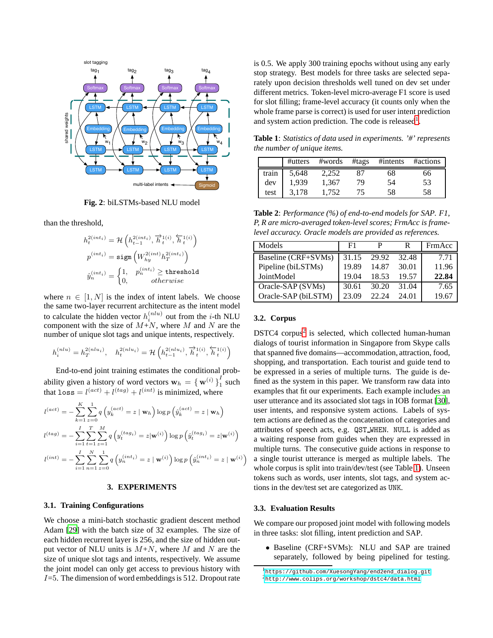<span id="page-2-0"></span>

**Fig. 2**: biLSTMs-based NLU model

than the threshold,

$$
\begin{aligned} h^{2(int_i)}_t &= \mathcal{H}\left(h^{2(int_i)}_{t-1}, \overrightarrow{h}^{1(i)}_t, \overleftarrow{h}^{1(i)}_t\right) \\ p^{(int_i)} &= \text{sigm}\left(W^{2(int_i)}_{hy}h^{2(int_i)}_T\right) \\ \hat{y}^{(int_i)}_n &= \begin{cases} 1, & p^{(int_i)}_n \geq \text{threshold} \\ 0, & otherwise \end{cases} \end{aligned}
$$

where  $n \in [1, N]$  is the index of intent labels. We choose the same two-layer recurrent architecture as the intent model to calculate the hidden vector  $h_i^{(nlu)}$  out from the *i*-th NLU component with the size of  $M+N$ , where M and N are the number of unique slot tags and unique intents, respectively.

$$
h_i^{(nlu)} = h_T^{2(nlu_i)}, \quad h_t^{2(nlu_i)} = \mathcal{H}\left(h_{t-1}^{2(nlu_i)}, \overrightarrow{h}_t^{1(i)}, \overleftarrow{h}_t^{1(i)}\right)
$$

End-to-end joint training estimates the conditional probability given a history of word vectors  $\mathbf{w}_h = \{\mathbf{w}^{(i)}\}_1^I$  $\frac{1}{1}$  such that  $loss = l^{(act)} + l^{(tag)} + l^{(int)}$  is minimized, where

$$
l^{(act)} = -\sum_{k=1}^{K} \sum_{z=0}^{1} q\left(y_k^{(act)} = z \mid \mathbf{w}_h\right) \log p\left(\hat{y}_k^{(act)} = z \mid \mathbf{w}_h\right)
$$
  

$$
l^{(tag)} = -\sum_{i=1}^{I} \sum_{t=1}^{T} \sum_{z=1}^{M} q\left(y_t^{(tag_i)} = z | \mathbf{w}^{(i)}\right) \log p\left(\hat{y}_t^{(tag_i)} = z | \mathbf{w}^{(i)}\right)
$$
  

$$
l^{(int)} = -\sum_{i=1}^{I} \sum_{n=1}^{N} \sum_{z=0}^{1} q\left(y_n^{(int_i)} = z \mid \mathbf{w}^{(i)}\right) \log p\left(\hat{y}_n^{(int_i)} = z \mid \mathbf{w}^{(i)}\right)
$$

# **3. EXPERIMENTS**

## **3.1. Training Configurations**

We choose a mini-batch stochastic gradient descent method Adam [\[29\]](#page-4-22) with the batch size of 32 examples. The size of each hidden recurrent layer is 256, and the size of hidden output vector of NLU units is  $M+N$ , where M and N are the size of unique slot tags and intents, respectively. We assume the joint model can only get access to previous history with  $I=5$ . The dimension of word embeddings is 512. Dropout rate is 0.5. We apply 300 training epochs without using any early stop strategy. Best models for three tasks are selected separately upon decision thresholds well tuned on dev set under different metrics. Token-level micro-average F1 score is used for slot filling; frame-level accuracy (it counts only when the whole frame parse is correct) is used for user intent prediction and system action prediction. The code is released<sup>[1](#page-2-1)</sup>.

<span id="page-2-3"></span>**Table 1**: *Statistics of data used in experiments. '#' represents the number of unique items.*

|       | #utters | #words | #tags | #intents | #actions |
|-------|---------|--------|-------|----------|----------|
| train | 5,648   | 2.252  | 87    | 68       | 66       |
| dev   | 1,939   | 1.367  | 79    | 54       | 53       |
| test  | 3.178   | 1.752  | 75    | 58       | 58       |

<span id="page-2-4"></span>**Table 2**: *Performance (%) of end-to-end models for SAP. F1, P, R are micro-averaged token-level scores; FrmAcc is framelevel accuracy. Oracle models are provided as references.*

| Models              | F1    |       | R     | FrmAcc |
|---------------------|-------|-------|-------|--------|
| Baseline (CRF+SVMs) | 31.15 | 29.92 | 32.48 | 7.71   |
| Pipeline (biLSTMs)  | 19.89 | 14.87 | 30.01 | 11.96  |
| JointModel          | 19.04 | 18.53 | 19.57 | 22.84  |
| Oracle-SAP (SVMs)   | 30.61 | 30.20 | 31.04 | 7.65   |
| Oracle-SAP (biLSTM) | 23.09 | 22.24 | 24.01 | 19.67  |

# **3.2. Corpus**

 $\setminus$ 

DSTC4 corpus<sup>[2](#page-2-2)</sup> is selected, which collected human-human dialogs of tourist information in Singapore from Skype calls that spanned five domains—accommodation, attraction, food, shopping, and transportation. Each tourist and guide tend to be expressed in a series of multiple turns. The guide is defined as the system in this paper. We transform raw data into examples that fit our experiments. Each example includes an user utterance and its associated slot tags in IOB format [\[30](#page-4-23)], user intents, and responsive system actions. Labels of system actions are defined as the concatenation of categories and attributes of speech acts, e.g. QST WHEN. NULL is added as a waiting response from guides when they are expressed in multiple turns. The consecutive guide actions in response to a single tourist utterance is merged as multiple labels. The whole corpus is split into train/dev/test (see Table [1\)](#page-2-3). Unseen tokens such as words, user intents, slot tags, and system actions in the dev/test set are categorized as UNK.

#### **3.3. Evaluation Results**

We compare our proposed joint model with following models in three tasks: slot filling, intent prediction and SAP.

• Baseline (CRF+SVMs): NLU and SAP are trained separately, followed by being pipelined for testing.

<span id="page-2-2"></span><span id="page-2-1"></span><sup>1</sup>[https://github.com/XuesongYang/end2end\\_dialog.git](https://github.com/XuesongYang/end2end_dialog.git)  $^{2}$ <http://www.colips.org/workshop/dstc4/data.html>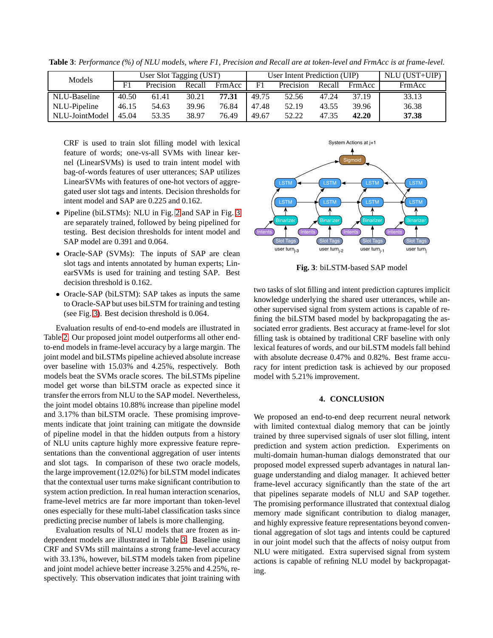| Models         | User Slot Tagging (UST) |           |        | User Intent Prediction (UIP) |       |           |        | NLU (UST+UIP) |        |
|----------------|-------------------------|-----------|--------|------------------------------|-------|-----------|--------|---------------|--------|
|                | F <sup>1</sup>          | Precision | Recall | FrmAcc                       | F1    | Precision | Recall | FrmAcc        | FrmAcc |
| NLU-Baseline   | 40.50                   | 61.41     | 30.21  | 77.31                        | 49.75 | 52.56     | 47.24  | 37.19         | 33.13  |
| NLU-Pipeline   | 46.15                   | 54.63     | 39.96  | 76.84                        | 47.48 | 52.19     | 43.55  | 39.96         | 36.38  |
| NLU-JointModel | 45.04                   | 53.35     | 38.97  | 76.49                        | 49.67 | 52.22     | 47.35  | 42.20         | 37.38  |

<span id="page-3-1"></span>**Table 3**: *Performance (%) of NLU models, where F1, Precision and Recall are at token-level and FrmAcc is at frame-level.*

CRF is used to train slot filling model with lexical feature of words; one-vs-all SVMs with linear kernel (LinearSVMs) is used to train intent model with bag-of-words features of user utterances; SAP utilizes LinearSVMs with features of one-hot vectors of aggregated user slot tags and intents. Decision thresholds for intent model and SAP are 0.225 and 0.162.

- Pipeline (biLSTMs): NLU in Fig. [2](#page-2-0) and SAP in Fig. [3](#page-3-0) are separately trained, followed by being pipelined for testing. Best decision thresholds for intent model and SAP model are 0.391 and 0.064.
- Oracle-SAP (SVMs): The inputs of SAP are clean slot tags and intents annotated by human experts; LinearSVMs is used for training and testing SAP. Best decision threshold is 0.162.
- Oracle-SAP (biLSTM): SAP takes as inputs the same to Oracle-SAP but uses biLSTM for training and testing (see Fig. [3\)](#page-3-0). Best decision threshold is 0.064.

Evaluation results of end-to-end models are illustrated in Table [2.](#page-2-4) Our proposed joint model outperforms all other endto-end models in frame-level accuracy by a large margin. The joint model and biLSTMs pipeline achieved absolute increase over baseline with 15.03% and 4.25%, respectively. Both models beat the SVMs oracle scores. The biLSTMs pipeline model get worse than biLSTM oracle as expected since it transfer the errors from NLU to the SAP model. Nevertheless, the joint model obtains 10.88% increase than pipeline model and 3.17% than biLSTM oracle. These promising improvements indicate that joint training can mitigate the downside of pipeline model in that the hidden outputs from a history of NLU units capture highly more expressive feature representations than the conventional aggregation of user intents and slot tags. In comparison of these two oracle models, the large improvement (12.02%) for biLSTM model indicates that the contextual user turns make significant contribution to system action prediction. In real human interaction scenarios, frame-level metrics are far more important than token-level ones especially for these multi-label classification tasks since predicting precise number of labels is more challenging.

Evaluation results of NLU models that are frozen as independent models are illustrated in Table [3.](#page-3-1) Baseline using CRF and SVMs still maintains a strong frame-level accuracy with 33.13%, however, biLSTM models taken from pipeline and joint model achieve better increase 3.25% and 4.25%, respectively. This observation indicates that joint training with

<span id="page-3-0"></span>

**Fig. 3**: biLSTM-based SAP model

two tasks of slot filling and intent prediction captures implicit knowledge underlying the shared user utterances, while another supervised signal from system actions is capable of refining the biLSTM based model by backpropagating the associated error gradients. Best accuracy at frame-level for slot filling task is obtained by traditional CRF baseline with only lexical features of words, and our biLSTM models fall behind with absolute decrease 0.47% and 0.82%. Best frame accuracy for intent prediction task is achieved by our proposed model with 5.21% improvement.

# **4. CONCLUSION**

We proposed an end-to-end deep recurrent neural network with limited contextual dialog memory that can be jointly trained by three supervised signals of user slot filling, intent prediction and system action prediction. Experiments on multi-domain human-human dialogs demonstrated that our proposed model expressed superb advantages in natural language understanding and dialog manager. It achieved better frame-level accuracy significantly than the state of the art that pipelines separate models of NLU and SAP together. The promising performance illustrated that contextual dialog memory made significant contribution to dialog manager, and highly expressive feature representations beyond conventional aggregation of slot tags and intents could be captured in our joint model such that the affects of noisy output from NLU were mitigated. Extra supervised signal from system actions is capable of refining NLU model by backpropagating.